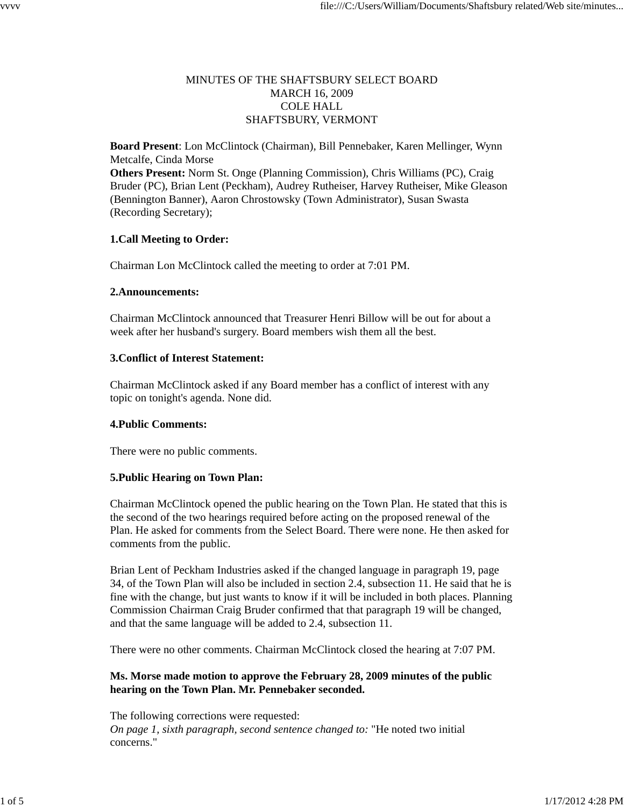## MINUTES OF THE SHAFTSBURY SELECT BOARD MARCH 16, 2009 COLE HALL SHAFTSBURY, VERMONT

**Board Present**: Lon McClintock (Chairman), Bill Pennebaker, Karen Mellinger, Wynn Metcalfe, Cinda Morse **Others Present:** Norm St. Onge (Planning Commission), Chris Williams (PC), Craig Bruder (PC), Brian Lent (Peckham), Audrey Rutheiser, Harvey Rutheiser, Mike Gleason (Bennington Banner), Aaron Chrostowsky (Town Administrator), Susan Swasta (Recording Secretary);

## **1.Call Meeting to Order:**

Chairman Lon McClintock called the meeting to order at 7:01 PM.

## **2.Announcements:**

Chairman McClintock announced that Treasurer Henri Billow will be out for about a week after her husband's surgery. Board members wish them all the best.

## **3.Conflict of Interest Statement:**

Chairman McClintock asked if any Board member has a conflict of interest with any topic on tonight's agenda. None did.

## **4.Public Comments:**

There were no public comments.

## **5.Public Hearing on Town Plan:**

Chairman McClintock opened the public hearing on the Town Plan. He stated that this is the second of the two hearings required before acting on the proposed renewal of the Plan. He asked for comments from the Select Board. There were none. He then asked for comments from the public.

Brian Lent of Peckham Industries asked if the changed language in paragraph 19, page 34, of the Town Plan will also be included in section 2.4, subsection 11. He said that he is fine with the change, but just wants to know if it will be included in both places. Planning Commission Chairman Craig Bruder confirmed that that paragraph 19 will be changed, and that the same language will be added to 2.4, subsection 11.

There were no other comments. Chairman McClintock closed the hearing at 7:07 PM.

## **Ms. Morse made motion to approve the February 28, 2009 minutes of the public hearing on the Town Plan. Mr. Pennebaker seconded.**

The following corrections were requested: *On page 1, sixth paragraph, second sentence changed to:* "He noted two initial concerns."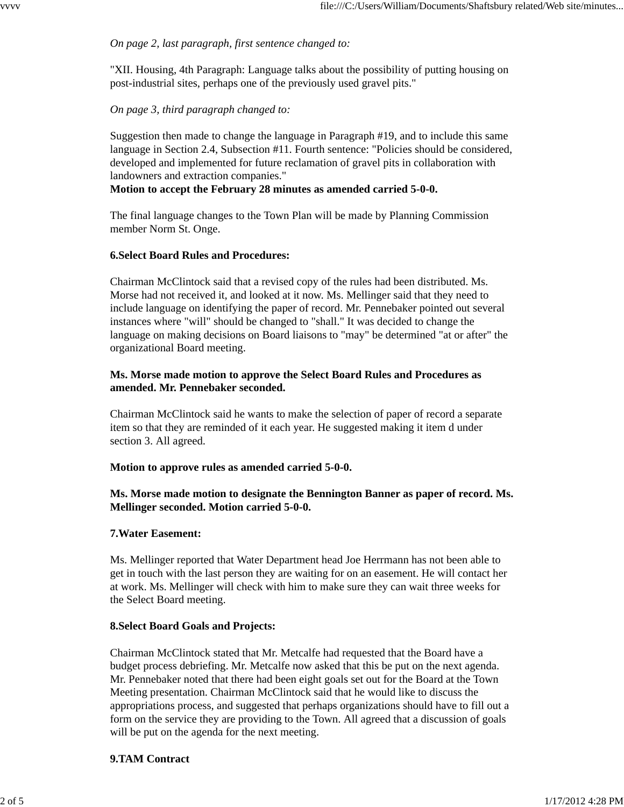## *On page 2, last paragraph, first sentence changed to:*

"XII. Housing, 4th Paragraph: Language talks about the possibility of putting housing on post-industrial sites, perhaps one of the previously used gravel pits."

### *On page 3, third paragraph changed to:*

Suggestion then made to change the language in Paragraph #19, and to include this same language in Section 2.4, Subsection #11. Fourth sentence: "Policies should be considered, developed and implemented for future reclamation of gravel pits in collaboration with landowners and extraction companies."

#### **Motion to accept the February 28 minutes as amended carried 5-0-0.**

The final language changes to the Town Plan will be made by Planning Commission member Norm St. Onge.

#### **6.Select Board Rules and Procedures:**

Chairman McClintock said that a revised copy of the rules had been distributed. Ms. Morse had not received it, and looked at it now. Ms. Mellinger said that they need to include language on identifying the paper of record. Mr. Pennebaker pointed out several instances where "will" should be changed to "shall." It was decided to change the language on making decisions on Board liaisons to "may" be determined "at or after" the organizational Board meeting.

### **Ms. Morse made motion to approve the Select Board Rules and Procedures as amended. Mr. Pennebaker seconded.**

Chairman McClintock said he wants to make the selection of paper of record a separate item so that they are reminded of it each year. He suggested making it item d under section 3. All agreed.

#### **Motion to approve rules as amended carried 5-0-0.**

## **Ms. Morse made motion to designate the Bennington Banner as paper of record. Ms. Mellinger seconded. Motion carried 5-0-0.**

### **7.Water Easement:**

Ms. Mellinger reported that Water Department head Joe Herrmann has not been able to get in touch with the last person they are waiting for on an easement. He will contact her at work. Ms. Mellinger will check with him to make sure they can wait three weeks for the Select Board meeting.

#### **8.Select Board Goals and Projects:**

Chairman McClintock stated that Mr. Metcalfe had requested that the Board have a budget process debriefing. Mr. Metcalfe now asked that this be put on the next agenda. Mr. Pennebaker noted that there had been eight goals set out for the Board at the Town Meeting presentation. Chairman McClintock said that he would like to discuss the appropriations process, and suggested that perhaps organizations should have to fill out a form on the service they are providing to the Town. All agreed that a discussion of goals will be put on the agenda for the next meeting.

#### **9.TAM Contract**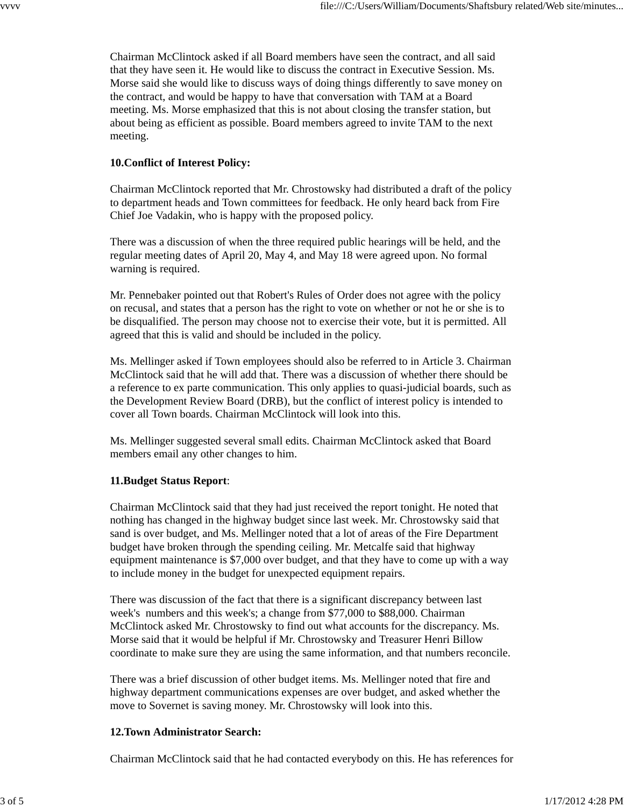Chairman McClintock asked if all Board members have seen the contract, and all said that they have seen it. He would like to discuss the contract in Executive Session. Ms. Morse said she would like to discuss ways of doing things differently to save money on the contract, and would be happy to have that conversation with TAM at a Board meeting. Ms. Morse emphasized that this is not about closing the transfer station, but about being as efficient as possible. Board members agreed to invite TAM to the next meeting.

# **10.Conflict of Interest Policy:**

Chairman McClintock reported that Mr. Chrostowsky had distributed a draft of the policy to department heads and Town committees for feedback. He only heard back from Fire Chief Joe Vadakin, who is happy with the proposed policy.

There was a discussion of when the three required public hearings will be held, and the regular meeting dates of April 20, May 4, and May 18 were agreed upon. No formal warning is required.

Mr. Pennebaker pointed out that Robert's Rules of Order does not agree with the policy on recusal, and states that a person has the right to vote on whether or not he or she is to be disqualified. The person may choose not to exercise their vote, but it is permitted. All agreed that this is valid and should be included in the policy.

Ms. Mellinger asked if Town employees should also be referred to in Article 3. Chairman McClintock said that he will add that. There was a discussion of whether there should be a reference to ex parte communication. This only applies to quasi-judicial boards, such as the Development Review Board (DRB), but the conflict of interest policy is intended to cover all Town boards. Chairman McClintock will look into this.

Ms. Mellinger suggested several small edits. Chairman McClintock asked that Board members email any other changes to him.

# **11.Budget Status Report**:

Chairman McClintock said that they had just received the report tonight. He noted that nothing has changed in the highway budget since last week. Mr. Chrostowsky said that sand is over budget, and Ms. Mellinger noted that a lot of areas of the Fire Department budget have broken through the spending ceiling. Mr. Metcalfe said that highway equipment maintenance is \$7,000 over budget, and that they have to come up with a way to include money in the budget for unexpected equipment repairs.

There was discussion of the fact that there is a significant discrepancy between last week's numbers and this week's; a change from \$77,000 to \$88,000. Chairman McClintock asked Mr. Chrostowsky to find out what accounts for the discrepancy. Ms. Morse said that it would be helpful if Mr. Chrostowsky and Treasurer Henri Billow coordinate to make sure they are using the same information, and that numbers reconcile.

There was a brief discussion of other budget items. Ms. Mellinger noted that fire and highway department communications expenses are over budget, and asked whether the move to Sovernet is saving money. Mr. Chrostowsky will look into this.

# **12.Town Administrator Search:**

Chairman McClintock said that he had contacted everybody on this. He has references for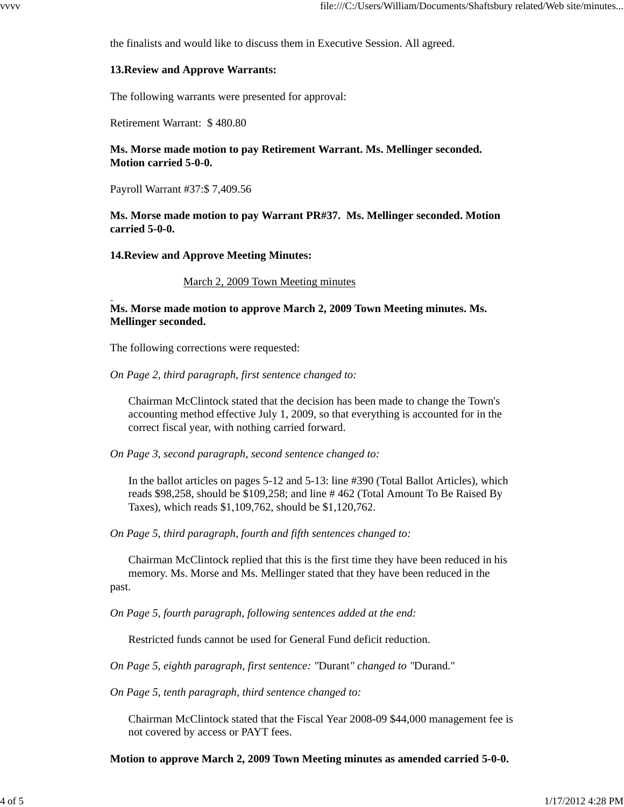the finalists and would like to discuss them in Executive Session. All agreed.

#### **13.Review and Approve Warrants:**

The following warrants were presented for approval:

Retirement Warrant: \$ 480.80

**Ms. Morse made motion to pay Retirement Warrant. Ms. Mellinger seconded. Motion carried 5-0-0.**

Payroll Warrant #37:\$ 7,409.56

**Ms. Morse made motion to pay Warrant PR#37. Ms. Mellinger seconded. Motion carried 5-0-0.**

**14.Review and Approve Meeting Minutes:**

March 2, 2009 Town Meeting minutes

**Ms. Morse made motion to approve March 2, 2009 Town Meeting minutes. Ms. Mellinger seconded.**

The following corrections were requested:

*On Page 2, third paragraph, first sentence changed to:*

Chairman McClintock stated that the decision has been made to change the Town's accounting method effective July 1, 2009, so that everything is accounted for in the correct fiscal year, with nothing carried forward.

*On Page 3, second paragraph, second sentence changed to:*

In the ballot articles on pages 5-12 and 5-13: line #390 (Total Ballot Articles), which reads \$98,258, should be \$109,258; and line # 462 (Total Amount To Be Raised By Taxes), which reads \$1,109,762, should be \$1,120,762.

*On Page 5, third paragraph, fourth and fifth sentences changed to:*

Chairman McClintock replied that this is the first time they have been reduced in his memory. Ms. Morse and Ms. Mellinger stated that they have been reduced in the past.

*On Page 5, fourth paragraph, following sentences added at the end:*

Restricted funds cannot be used for General Fund deficit reduction.

*On Page 5, eighth paragraph, first sentence: "*Durant*" changed to "*Durand."

*On Page 5, tenth paragraph, third sentence changed to:*

Chairman McClintock stated that the Fiscal Year 2008-09 \$44,000 management fee is not covered by access or PAYT fees.

**Motion to approve March 2, 2009 Town Meeting minutes as amended carried 5-0-0.**